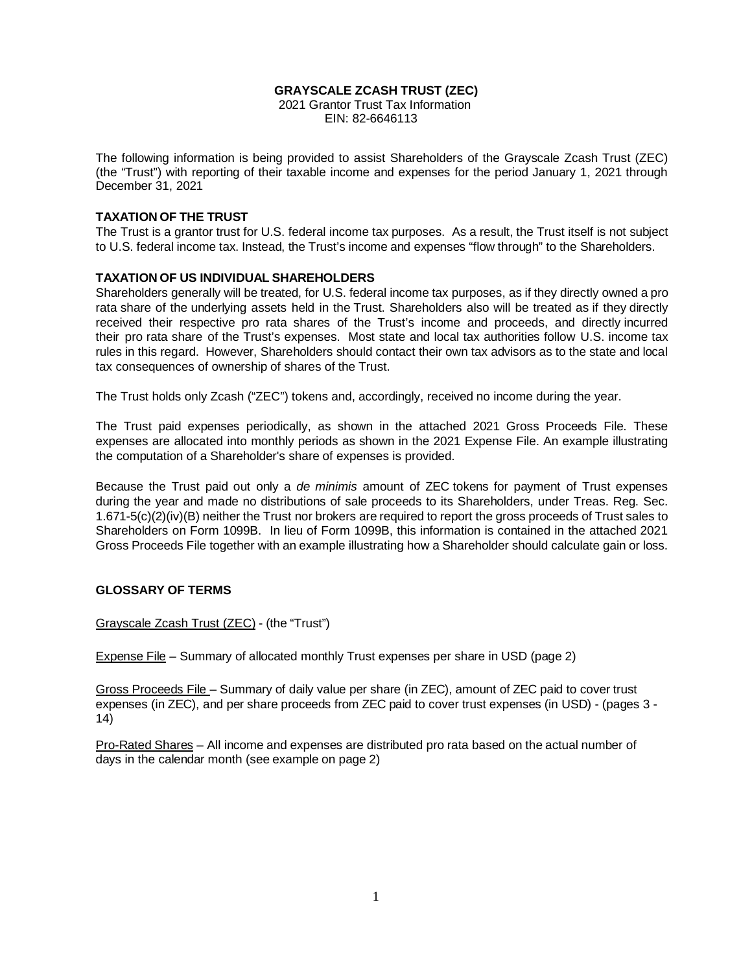#### **GRAYSCALE ZCASH TRUST (ZEC)**

 2021 Grantor Trust Tax Information EIN: 82-6646113

The following information is being provided to assist Shareholders of the Grayscale Zcash Trust (ZEC) (the "Trust") with reporting of their taxable income and expenses for the period January 1, 2021 through December 31, 2021

#### **TAXATION OF THE TRUST**

The Trust is a grantor trust for U.S. federal income tax purposes. As a result, the Trust itself is not subject to U.S. federal income tax. Instead, the Trust's income and expenses "flow through" to the Shareholders.

#### **TAXATION OF US INDIVIDUAL SHAREHOLDERS**

Shareholders generally will be treated, for U.S. federal income tax purposes, as if they directly owned a pro rata share of the underlying assets held in the Trust. Shareholders also will be treated as if they directly received their respective pro rata shares of the Trust's income and proceeds, and directly incurred their pro rata share of the Trust's expenses. Most state and local tax authorities follow U.S. income tax rules in this regard. However, Shareholders should contact their own tax advisors as to the state and local tax consequences of ownership of shares of the Trust.

The Trust holds only Zcash ("ZEC") tokens and, accordingly, received no income during the year.

The Trust paid expenses periodically, as shown in the attached 2021 Gross Proceeds File. These expenses are allocated into monthly periods as shown in the 2021 Expense File. An example illustrating the computation of a Shareholder's share of expenses is provided.

Because the Trust paid out only a *de minimis* amount of ZEC tokens for payment of Trust expenses during the year and made no distributions of sale proceeds to its Shareholders, under Treas. Reg. Sec. 1.671-5(c)(2)(iv)(B) neither the Trust nor brokers are required to report the gross proceeds of Trust sales to Shareholders on Form 1099B. In lieu of Form 1099B, this information is contained in the attached 2021 Gross Proceeds File together with an example illustrating how a Shareholder should calculate gain or loss.

#### **GLOSSARY OF TERMS**

Grayscale Zcash Trust (ZEC) - (the "Trust")

Expense File – Summary of allocated monthly Trust expenses per share in USD (page 2)

Gross Proceeds File – Summary of daily value per share (in ZEC), amount of ZEC paid to cover trust expenses (in ZEC), and per share proceeds from ZEC paid to cover trust expenses (in USD) - (pages 3 - 14)

Pro-Rated Shares – All income and expenses are distributed pro rata based on the actual number of days in the calendar month (see example on page 2)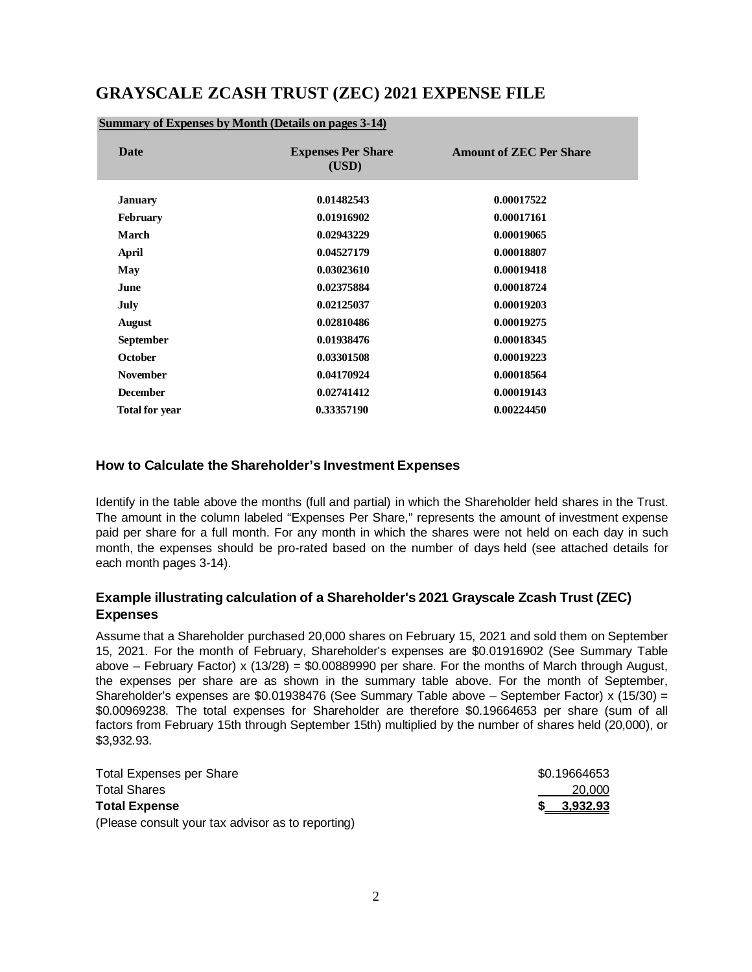# **GRAYSCALE ZCASH TRUST (ZEC) 2021 EXPENSE FILE**

| Date                  | <b>Expenses Per Share</b><br>(USD) | <b>Amount of ZEC Per Share</b> |
|-----------------------|------------------------------------|--------------------------------|
| <b>January</b>        | 0.01482543                         | 0.00017522                     |
| <b>February</b>       | 0.01916902                         | 0.00017161                     |
| March                 | 0.02943229                         | 0.00019065                     |
| April                 | 0.04527179                         | 0.00018807                     |
| May                   | 0.03023610                         | 0.00019418                     |
| June                  | 0.02375884                         | 0.00018724                     |
| July                  | 0.02125037                         | 0.00019203                     |
| August                | 0.02810486                         | 0.00019275                     |
| <b>September</b>      | 0.01938476                         | 0.00018345                     |
| <b>October</b>        | 0.03301508                         | 0.00019223                     |
| <b>November</b>       | 0.04170924                         | 0.00018564                     |
| <b>December</b>       | 0.02741412                         | 0.00019143                     |
| <b>Total for year</b> | 0.33357190                         | 0.00224450                     |

#### **Summary of Expenses by Month (Details on pages 3-14)**

#### **How to Calculate the Shareholder's Investment Expenses**

Identify in the table above the months (full and partial) in which the Shareholder held shares in the Trust. The amount in the column labeled "Expenses Per Share," represents the amount of investment expense paid per share for a full month. For any month in which the shares were not held on each day in such month, the expenses should be pro-rated based on the number of days held (see attached details for each month pages 3-14).

#### **Example illustrating calculation of a Shareholder's 2021 Grayscale Zcash Trust (ZEC) Expenses**

Assume that a Shareholder purchased 20,000 shares on February 15, 2021 and sold them on September 15, 2021. For the month of February, Shareholder's expenses are \$0.01916902 (See Summary Table above – February Factor) x (13/28) = \$0.00889990 per share. For the months of March through August, the expenses per share are as shown in the summary table above. For the month of September, Shareholder's expenses are \$0.01938476 (See Summary Table above – September Factor) x (15/30) = \$0.00969238. The total expenses for Shareholder are therefore \$0.19664653 per share (sum of all factors from February 15th through September 15th) multiplied by the number of shares held (20,000), or \$3,932.93.

| <b>Total Expenses per Share</b>                   | \$0.19664653 |
|---------------------------------------------------|--------------|
| <b>Total Shares</b>                               | 20,000       |
| <b>Total Expense</b>                              | \$ 3,932.93  |
| (Please consult your tax advisor as to reporting) |              |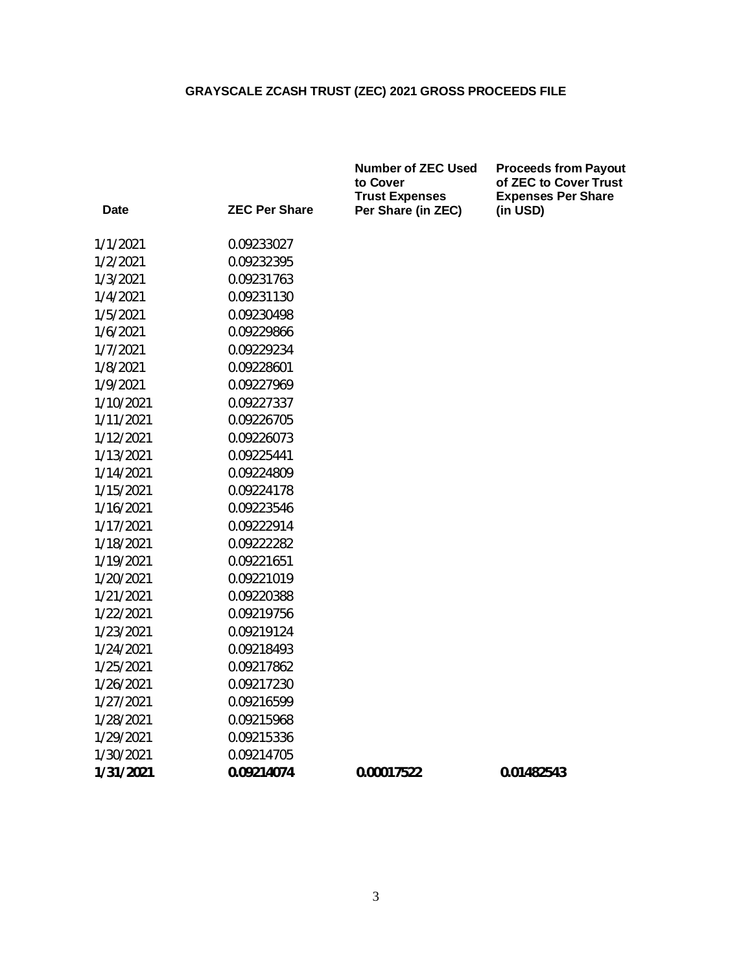|           |                      | <b>Number of ZEC Used</b><br>to Cover<br><b>Trust Expenses</b> | <b>Proceeds from Payout</b><br>of ZEC to Cover Trust<br><b>Expenses Per Share</b> |
|-----------|----------------------|----------------------------------------------------------------|-----------------------------------------------------------------------------------|
| Date      | <b>ZEC Per Share</b> | Per Share (in ZEC)                                             | (in USD)                                                                          |
| 1/1/2021  | 0.09233027           |                                                                |                                                                                   |
| 1/2/2021  | 0.09232395           |                                                                |                                                                                   |
| 1/3/2021  | 0.09231763           |                                                                |                                                                                   |
| 1/4/2021  | 0.09231130           |                                                                |                                                                                   |
| 1/5/2021  | 0.09230498           |                                                                |                                                                                   |
| 1/6/2021  | 0.09229866           |                                                                |                                                                                   |
| 1/7/2021  | 0.09229234           |                                                                |                                                                                   |
| 1/8/2021  | 0.09228601           |                                                                |                                                                                   |
| 1/9/2021  | 0.09227969           |                                                                |                                                                                   |
| 1/10/2021 | 0.09227337           |                                                                |                                                                                   |
| 1/11/2021 | 0.09226705           |                                                                |                                                                                   |
| 1/12/2021 | 0.09226073           |                                                                |                                                                                   |
| 1/13/2021 | 0.09225441           |                                                                |                                                                                   |
| 1/14/2021 | 0.09224809           |                                                                |                                                                                   |
| 1/15/2021 | 0.09224178           |                                                                |                                                                                   |
| 1/16/2021 | 0.09223546           |                                                                |                                                                                   |
| 1/17/2021 | 0.09222914           |                                                                |                                                                                   |
| 1/18/2021 | 0.09222282           |                                                                |                                                                                   |
| 1/19/2021 | 0.09221651           |                                                                |                                                                                   |
| 1/20/2021 | 0.09221019           |                                                                |                                                                                   |
| 1/21/2021 | 0.09220388           |                                                                |                                                                                   |
| 1/22/2021 | 0.09219756           |                                                                |                                                                                   |
| 1/23/2021 | 0.09219124           |                                                                |                                                                                   |
| 1/24/2021 | 0.09218493           |                                                                |                                                                                   |
| 1/25/2021 | 0.09217862           |                                                                |                                                                                   |
| 1/26/2021 | 0.09217230           |                                                                |                                                                                   |
| 1/27/2021 | 0.09216599           |                                                                |                                                                                   |
| 1/28/2021 | 0.09215968           |                                                                |                                                                                   |
| 1/29/2021 | 0.09215336           |                                                                |                                                                                   |
| 1/30/2021 | 0.09214705           |                                                                |                                                                                   |
| 1/31/2021 | 0.09214074           | 0.00017522                                                     | 0.01482543                                                                        |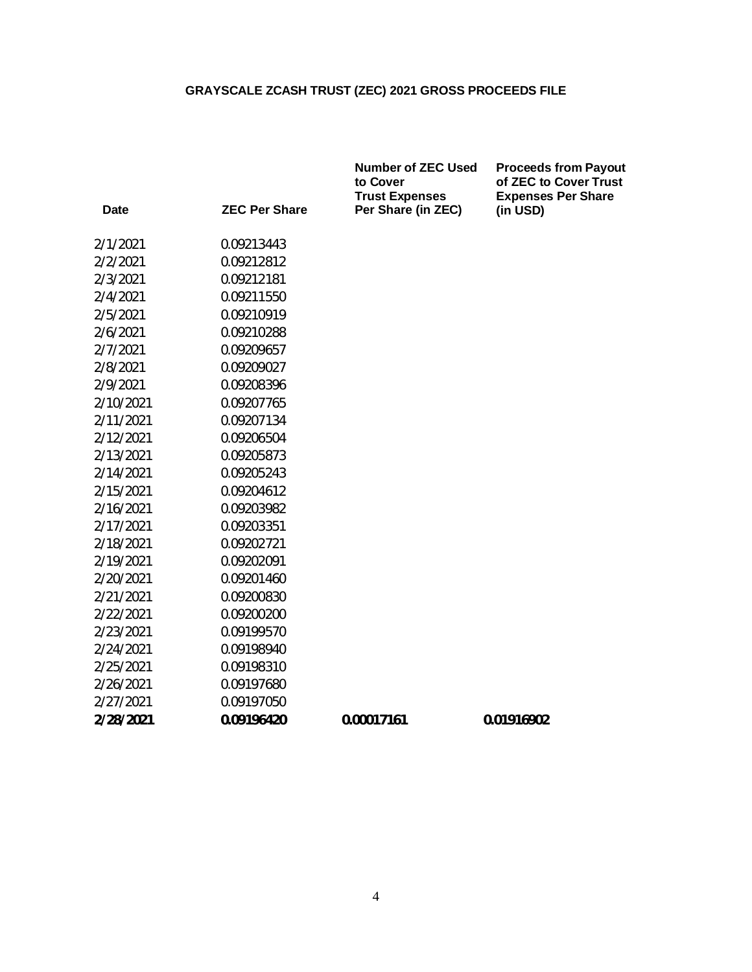|           |                      | <b>Number of ZEC Used</b><br>to Cover<br><b>Trust Expenses</b> | <b>Proceeds from Payout</b><br>of ZEC to Cover Trust<br><b>Expenses Per Share</b> |
|-----------|----------------------|----------------------------------------------------------------|-----------------------------------------------------------------------------------|
| Date      | <b>ZEC Per Share</b> | Per Share (in ZEC)                                             | (in USD)                                                                          |
| 2/1/2021  | 0.09213443           |                                                                |                                                                                   |
| 2/2/2021  | 0.09212812           |                                                                |                                                                                   |
| 2/3/2021  | 0.09212181           |                                                                |                                                                                   |
| 2/4/2021  | 0.09211550           |                                                                |                                                                                   |
| 2/5/2021  | 0.09210919           |                                                                |                                                                                   |
| 2/6/2021  | 0.09210288           |                                                                |                                                                                   |
| 2/7/2021  | 0.09209657           |                                                                |                                                                                   |
| 2/8/2021  | 0.09209027           |                                                                |                                                                                   |
| 2/9/2021  | 0.09208396           |                                                                |                                                                                   |
| 2/10/2021 | 0.09207765           |                                                                |                                                                                   |
| 2/11/2021 | 0.09207134           |                                                                |                                                                                   |
| 2/12/2021 | 0.09206504           |                                                                |                                                                                   |
| 2/13/2021 | 0.09205873           |                                                                |                                                                                   |
| 2/14/2021 | 0.09205243           |                                                                |                                                                                   |
| 2/15/2021 | 0.09204612           |                                                                |                                                                                   |
| 2/16/2021 | 0.09203982           |                                                                |                                                                                   |
| 2/17/2021 | 0.09203351           |                                                                |                                                                                   |
| 2/18/2021 | 0.09202721           |                                                                |                                                                                   |
| 2/19/2021 | 0.09202091           |                                                                |                                                                                   |
| 2/20/2021 | 0.09201460           |                                                                |                                                                                   |
| 2/21/2021 | 0.09200830           |                                                                |                                                                                   |
| 2/22/2021 | 0.09200200           |                                                                |                                                                                   |
| 2/23/2021 | 0.09199570           |                                                                |                                                                                   |
| 2/24/2021 | 0.09198940           |                                                                |                                                                                   |
| 2/25/2021 | 0.09198310           |                                                                |                                                                                   |
| 2/26/2021 | 0.09197680           |                                                                |                                                                                   |
| 2/27/2021 | 0.09197050           |                                                                |                                                                                   |
| 2/28/2021 | 0.09196420           | 0.00017161                                                     | 0.01916902                                                                        |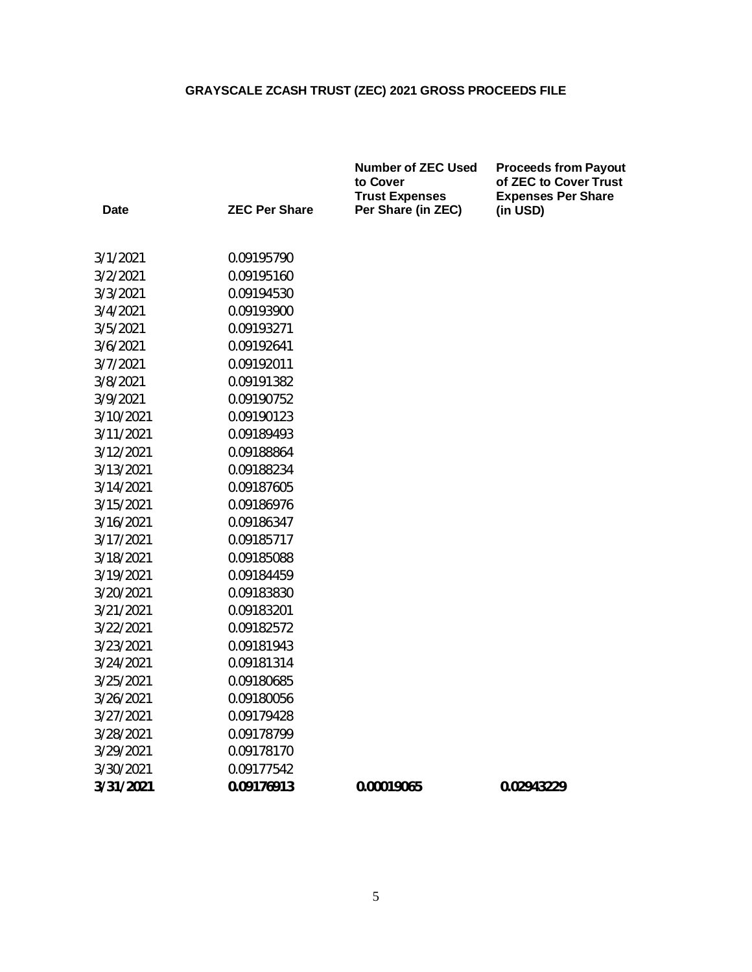|           |                      | <b>Number of ZEC Used</b><br>to Cover<br><b>Trust Expenses</b> | <b>Proceeds from Payout</b><br>of ZEC to Cover Trust<br><b>Expenses Per Share</b> |  |
|-----------|----------------------|----------------------------------------------------------------|-----------------------------------------------------------------------------------|--|
| Date      | <b>ZEC Per Share</b> | Per Share (in ZEC)                                             | (in USD)                                                                          |  |
| 3/1/2021  | 0.09195790           |                                                                |                                                                                   |  |
| 3/2/2021  | 0.09195160           |                                                                |                                                                                   |  |
| 3/3/2021  | 0.09194530           |                                                                |                                                                                   |  |
| 3/4/2021  | 0.09193900           |                                                                |                                                                                   |  |
| 3/5/2021  | 0.09193271           |                                                                |                                                                                   |  |
| 3/6/2021  | 0.09192641           |                                                                |                                                                                   |  |
| 3/7/2021  | 0.09192011           |                                                                |                                                                                   |  |
| 3/8/2021  | 0.09191382           |                                                                |                                                                                   |  |
| 3/9/2021  | 0.09190752           |                                                                |                                                                                   |  |
| 3/10/2021 | 0.09190123           |                                                                |                                                                                   |  |
| 3/11/2021 | 0.09189493           |                                                                |                                                                                   |  |
| 3/12/2021 | 0.09188864           |                                                                |                                                                                   |  |
| 3/13/2021 | 0.09188234           |                                                                |                                                                                   |  |
| 3/14/2021 | 0.09187605           |                                                                |                                                                                   |  |
| 3/15/2021 | 0.09186976           |                                                                |                                                                                   |  |
| 3/16/2021 | 0.09186347           |                                                                |                                                                                   |  |
| 3/17/2021 | 0.09185717           |                                                                |                                                                                   |  |
| 3/18/2021 | 0.09185088           |                                                                |                                                                                   |  |
| 3/19/2021 | 0.09184459           |                                                                |                                                                                   |  |
| 3/20/2021 | 0.09183830           |                                                                |                                                                                   |  |
| 3/21/2021 | 0.09183201           |                                                                |                                                                                   |  |
| 3/22/2021 | 0.09182572           |                                                                |                                                                                   |  |
| 3/23/2021 | 0.09181943           |                                                                |                                                                                   |  |
| 3/24/2021 | 0.09181314           |                                                                |                                                                                   |  |
| 3/25/2021 | 0.09180685           |                                                                |                                                                                   |  |
| 3/26/2021 | 0.09180056           |                                                                |                                                                                   |  |
| 3/27/2021 | 0.09179428           |                                                                |                                                                                   |  |
| 3/28/2021 | 0.09178799           |                                                                |                                                                                   |  |
| 3/29/2021 | 0.09178170           |                                                                |                                                                                   |  |
| 3/30/2021 | 0.09177542           |                                                                |                                                                                   |  |
| 3/31/2021 | 0.09176913           | 0.00019065                                                     | 0.02943229                                                                        |  |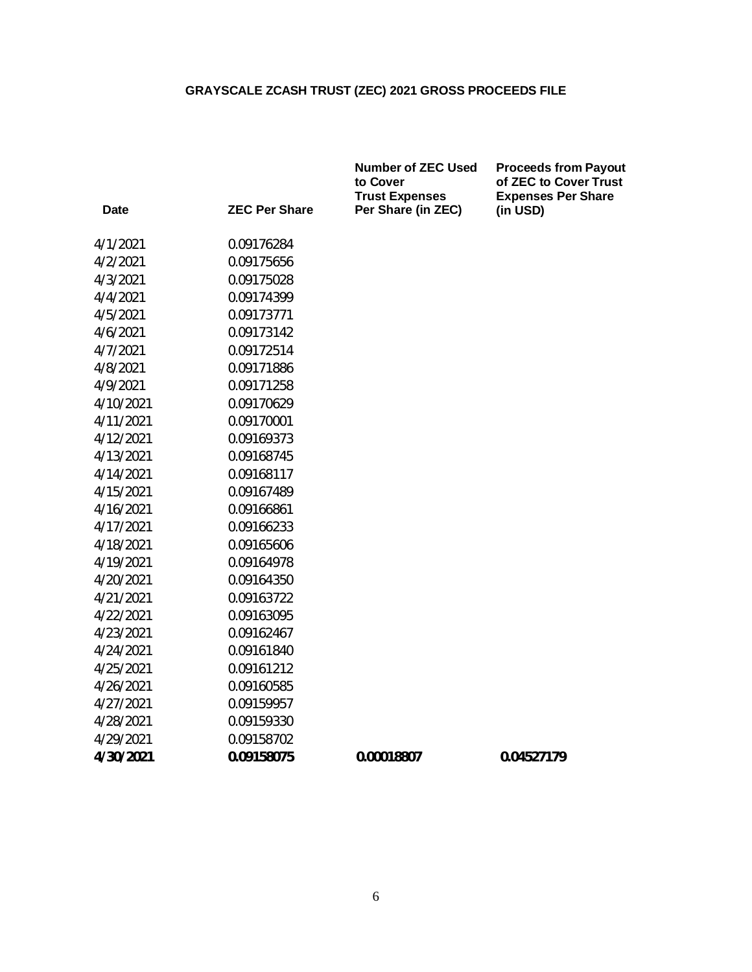|                      | to Cover           | <b>Proceeds from Payout</b><br>of ZEC to Cover Trust<br><b>Expenses Per Share</b> |
|----------------------|--------------------|-----------------------------------------------------------------------------------|
| <b>ZEC Per Share</b> | Per Share (in ZEC) | (in USD)                                                                          |
| 0.09176284           |                    |                                                                                   |
| 0.09175656           |                    |                                                                                   |
| 0.09175028           |                    |                                                                                   |
| 0.09174399           |                    |                                                                                   |
| 0.09173771           |                    |                                                                                   |
| 0.09173142           |                    |                                                                                   |
| 0.09172514           |                    |                                                                                   |
| 0.09171886           |                    |                                                                                   |
| 0.09171258           |                    |                                                                                   |
| 0.09170629           |                    |                                                                                   |
| 0.09170001           |                    |                                                                                   |
| 0.09169373           |                    |                                                                                   |
| 0.09168745           |                    |                                                                                   |
| 0.09168117           |                    |                                                                                   |
| 0.09167489           |                    |                                                                                   |
| 0.09166861           |                    |                                                                                   |
| 0.09166233           |                    |                                                                                   |
| 0.09165606           |                    |                                                                                   |
| 0.09164978           |                    |                                                                                   |
| 0.09164350           |                    |                                                                                   |
| 0.09163722           |                    |                                                                                   |
| 0.09163095           |                    |                                                                                   |
| 0.09162467           |                    |                                                                                   |
| 0.09161840           |                    |                                                                                   |
| 0.09161212           |                    |                                                                                   |
| 0.09160585           |                    |                                                                                   |
| 0.09159957           |                    |                                                                                   |
| 0.09159330           |                    |                                                                                   |
| 0.09158702           |                    |                                                                                   |
| 0.09158075           | 0.00018807         | 0.04527179                                                                        |
|                      |                    | <b>Number of ZEC Used</b><br><b>Trust Expenses</b>                                |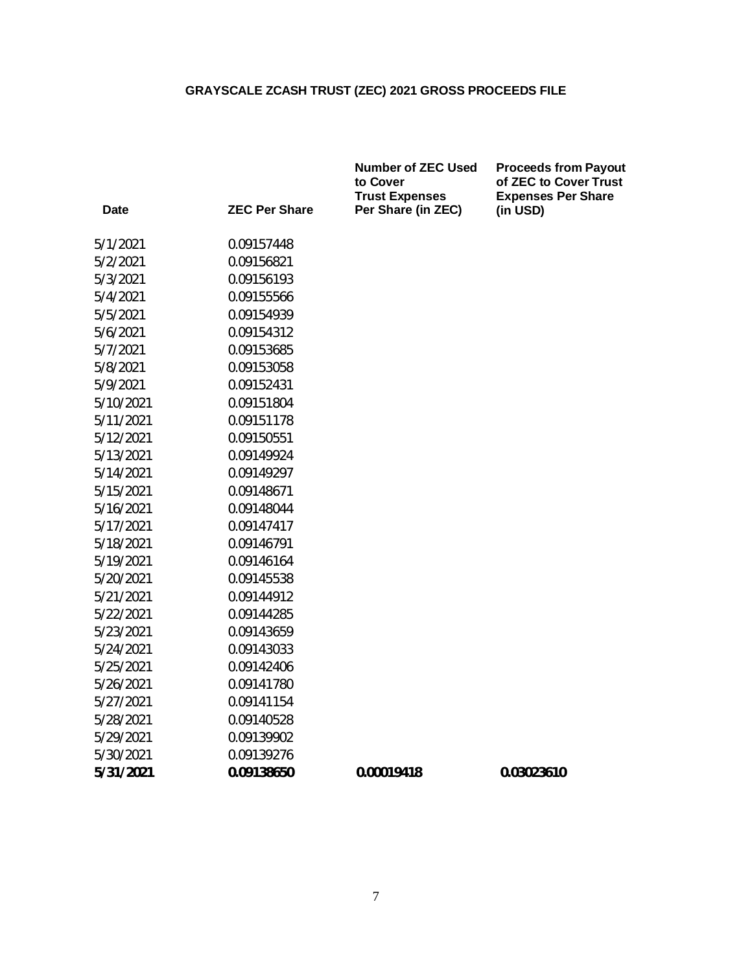|                      | <b>Number of ZEC Used</b><br>to Cover | <b>Proceeds from Payout</b><br>of ZEC to Cover Trust<br><b>Expenses Per Share</b> |
|----------------------|---------------------------------------|-----------------------------------------------------------------------------------|
| <b>ZEC Per Share</b> | Per Share (in ZEC)                    | (in USD)                                                                          |
| 0.09157448           |                                       |                                                                                   |
| 0.09156821           |                                       |                                                                                   |
| 0.09156193           |                                       |                                                                                   |
| 0.09155566           |                                       |                                                                                   |
| 0.09154939           |                                       |                                                                                   |
| 0.09154312           |                                       |                                                                                   |
| 0.09153685           |                                       |                                                                                   |
| 0.09153058           |                                       |                                                                                   |
| 0.09152431           |                                       |                                                                                   |
| 0.09151804           |                                       |                                                                                   |
| 0.09151178           |                                       |                                                                                   |
| 0.09150551           |                                       |                                                                                   |
| 0.09149924           |                                       |                                                                                   |
| 0.09149297           |                                       |                                                                                   |
| 0.09148671           |                                       |                                                                                   |
| 0.09148044           |                                       |                                                                                   |
| 0.09147417           |                                       |                                                                                   |
| 0.09146791           |                                       |                                                                                   |
| 0.09146164           |                                       |                                                                                   |
| 0.09145538           |                                       |                                                                                   |
| 0.09144912           |                                       |                                                                                   |
| 0.09144285           |                                       |                                                                                   |
| 0.09143659           |                                       |                                                                                   |
| 0.09143033           |                                       |                                                                                   |
| 0.09142406           |                                       |                                                                                   |
| 0.09141780           |                                       |                                                                                   |
| 0.09141154           |                                       |                                                                                   |
| 0.09140528           |                                       |                                                                                   |
| 0.09139902           |                                       |                                                                                   |
| 0.09139276           |                                       |                                                                                   |
| 0.09138650           | 0.00019418                            | 0.03023610                                                                        |
|                      |                                       | <b>Trust Expenses</b>                                                             |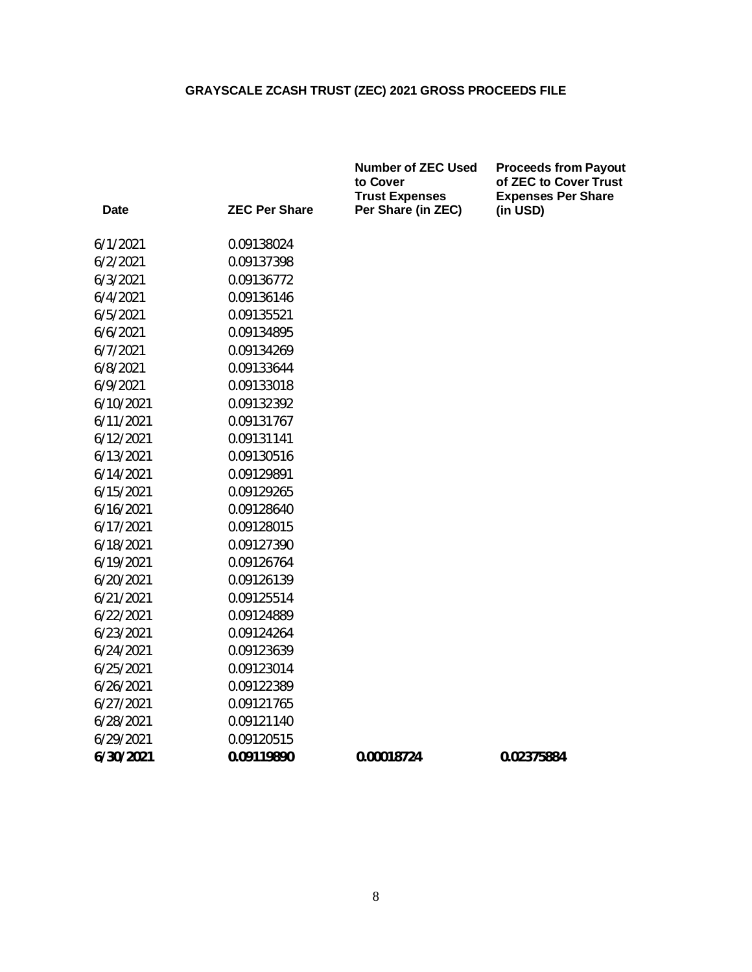|           |                      | <b>Number of ZEC Used</b><br>to Cover<br><b>Trust Expenses</b> | <b>Proceeds from Payout</b><br>of ZEC to Cover Trust<br><b>Expenses Per Share</b> |  |
|-----------|----------------------|----------------------------------------------------------------|-----------------------------------------------------------------------------------|--|
| Date      | <b>ZEC Per Share</b> | Per Share (in ZEC)                                             | (in USD)                                                                          |  |
| 6/1/2021  | 0.09138024           |                                                                |                                                                                   |  |
| 6/2/2021  | 0.09137398           |                                                                |                                                                                   |  |
| 6/3/2021  | 0.09136772           |                                                                |                                                                                   |  |
| 6/4/2021  | 0.09136146           |                                                                |                                                                                   |  |
| 6/5/2021  | 0.09135521           |                                                                |                                                                                   |  |
| 6/6/2021  | 0.09134895           |                                                                |                                                                                   |  |
| 6/7/2021  | 0.09134269           |                                                                |                                                                                   |  |
| 6/8/2021  | 0.09133644           |                                                                |                                                                                   |  |
| 6/9/2021  | 0.09133018           |                                                                |                                                                                   |  |
| 6/10/2021 | 0.09132392           |                                                                |                                                                                   |  |
| 6/11/2021 | 0.09131767           |                                                                |                                                                                   |  |
| 6/12/2021 | 0.09131141           |                                                                |                                                                                   |  |
| 6/13/2021 | 0.09130516           |                                                                |                                                                                   |  |
| 6/14/2021 | 0.09129891           |                                                                |                                                                                   |  |
| 6/15/2021 | 0.09129265           |                                                                |                                                                                   |  |
| 6/16/2021 | 0.09128640           |                                                                |                                                                                   |  |
| 6/17/2021 | 0.09128015           |                                                                |                                                                                   |  |
| 6/18/2021 | 0.09127390           |                                                                |                                                                                   |  |
| 6/19/2021 | 0.09126764           |                                                                |                                                                                   |  |
| 6/20/2021 | 0.09126139           |                                                                |                                                                                   |  |
| 6/21/2021 | 0.09125514           |                                                                |                                                                                   |  |
| 6/22/2021 | 0.09124889           |                                                                |                                                                                   |  |
| 6/23/2021 | 0.09124264           |                                                                |                                                                                   |  |
| 6/24/2021 | 0.09123639           |                                                                |                                                                                   |  |
| 6/25/2021 | 0.09123014           |                                                                |                                                                                   |  |
| 6/26/2021 | 0.09122389           |                                                                |                                                                                   |  |
| 6/27/2021 | 0.09121765           |                                                                |                                                                                   |  |
| 6/28/2021 | 0.09121140           |                                                                |                                                                                   |  |
| 6/29/2021 | 0.09120515           |                                                                |                                                                                   |  |
| 6/30/2021 | 0.09119890           | 0.00018724                                                     | 0.02375884                                                                        |  |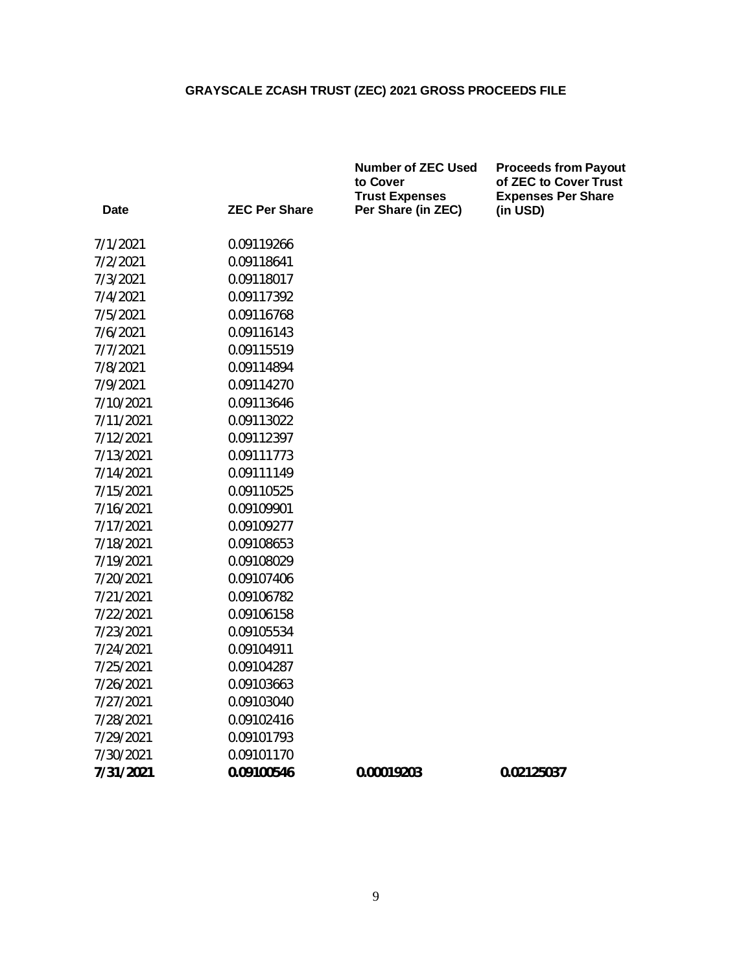|           |                      | <b>Number of ZEC Used</b><br>to Cover<br><b>Trust Expenses</b> | <b>Proceeds from Payout</b><br>of ZEC to Cover Trust<br><b>Expenses Per Share</b> |
|-----------|----------------------|----------------------------------------------------------------|-----------------------------------------------------------------------------------|
| Date      | <b>ZEC Per Share</b> | Per Share (in ZEC)                                             | (in USD)                                                                          |
| 7/1/2021  | 0.09119266           |                                                                |                                                                                   |
| 7/2/2021  | 0.09118641           |                                                                |                                                                                   |
| 7/3/2021  | 0.09118017           |                                                                |                                                                                   |
| 7/4/2021  | 0.09117392           |                                                                |                                                                                   |
| 7/5/2021  | 0.09116768           |                                                                |                                                                                   |
| 7/6/2021  | 0.09116143           |                                                                |                                                                                   |
| 7/7/2021  | 0.09115519           |                                                                |                                                                                   |
| 7/8/2021  | 0.09114894           |                                                                |                                                                                   |
| 7/9/2021  | 0.09114270           |                                                                |                                                                                   |
| 7/10/2021 | 0.09113646           |                                                                |                                                                                   |
| 7/11/2021 | 0.09113022           |                                                                |                                                                                   |
| 7/12/2021 | 0.09112397           |                                                                |                                                                                   |
| 7/13/2021 | 0.09111773           |                                                                |                                                                                   |
| 7/14/2021 | 0.09111149           |                                                                |                                                                                   |
| 7/15/2021 | 0.09110525           |                                                                |                                                                                   |
| 7/16/2021 | 0.09109901           |                                                                |                                                                                   |
| 7/17/2021 | 0.09109277           |                                                                |                                                                                   |
| 7/18/2021 | 0.09108653           |                                                                |                                                                                   |
| 7/19/2021 | 0.09108029           |                                                                |                                                                                   |
| 7/20/2021 | 0.09107406           |                                                                |                                                                                   |
| 7/21/2021 | 0.09106782           |                                                                |                                                                                   |
| 7/22/2021 | 0.09106158           |                                                                |                                                                                   |
| 7/23/2021 | 0.09105534           |                                                                |                                                                                   |
| 7/24/2021 | 0.09104911           |                                                                |                                                                                   |
| 7/25/2021 | 0.09104287           |                                                                |                                                                                   |
| 7/26/2021 | 0.09103663           |                                                                |                                                                                   |
| 7/27/2021 | 0.09103040           |                                                                |                                                                                   |
| 7/28/2021 | 0.09102416           |                                                                |                                                                                   |
| 7/29/2021 | 0.09101793           |                                                                |                                                                                   |
| 7/30/2021 | 0.09101170           |                                                                |                                                                                   |
| 7/31/2021 | 0.09100546           | 0.00019203                                                     | 0.02125037                                                                        |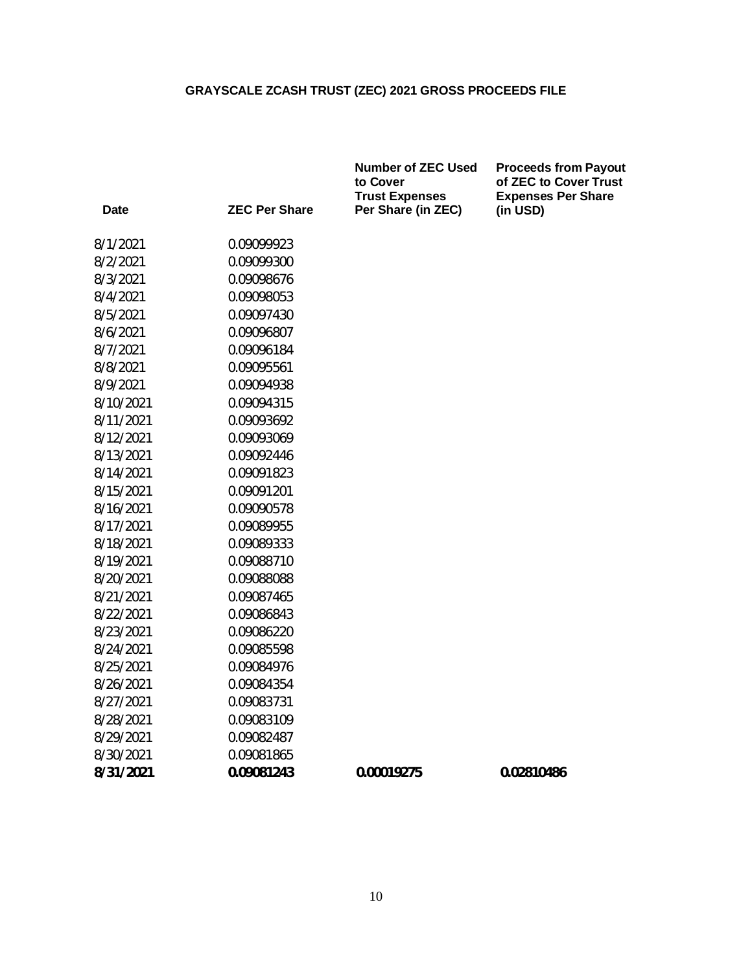|           |                      | <b>Number of ZEC Used</b><br>to Cover<br><b>Trust Expenses</b> | <b>Proceeds from Payout</b><br>of ZEC to Cover Trust<br><b>Expenses Per Share</b> |
|-----------|----------------------|----------------------------------------------------------------|-----------------------------------------------------------------------------------|
| Date      | <b>ZEC Per Share</b> | Per Share (in ZEC)                                             | (in USD)                                                                          |
| 8/1/2021  | 0.09099923           |                                                                |                                                                                   |
| 8/2/2021  | 0.09099300           |                                                                |                                                                                   |
| 8/3/2021  | 0.09098676           |                                                                |                                                                                   |
| 8/4/2021  | 0.09098053           |                                                                |                                                                                   |
| 8/5/2021  | 0.09097430           |                                                                |                                                                                   |
| 8/6/2021  | 0.09096807           |                                                                |                                                                                   |
| 8/7/2021  | 0.09096184           |                                                                |                                                                                   |
| 8/8/2021  | 0.09095561           |                                                                |                                                                                   |
| 8/9/2021  | 0.09094938           |                                                                |                                                                                   |
| 8/10/2021 | 0.09094315           |                                                                |                                                                                   |
| 8/11/2021 | 0.09093692           |                                                                |                                                                                   |
| 8/12/2021 | 0.09093069           |                                                                |                                                                                   |
| 8/13/2021 | 0.09092446           |                                                                |                                                                                   |
| 8/14/2021 | 0.09091823           |                                                                |                                                                                   |
| 8/15/2021 | 0.09091201           |                                                                |                                                                                   |
| 8/16/2021 | 0.09090578           |                                                                |                                                                                   |
| 8/17/2021 | 0.09089955           |                                                                |                                                                                   |
| 8/18/2021 | 0.09089333           |                                                                |                                                                                   |
| 8/19/2021 | 0.09088710           |                                                                |                                                                                   |
| 8/20/2021 | 0.09088088           |                                                                |                                                                                   |
| 8/21/2021 | 0.09087465           |                                                                |                                                                                   |
| 8/22/2021 | 0.09086843           |                                                                |                                                                                   |
| 8/23/2021 | 0.09086220           |                                                                |                                                                                   |
| 8/24/2021 | 0.09085598           |                                                                |                                                                                   |
| 8/25/2021 | 0.09084976           |                                                                |                                                                                   |
| 8/26/2021 | 0.09084354           |                                                                |                                                                                   |
| 8/27/2021 | 0.09083731           |                                                                |                                                                                   |
| 8/28/2021 | 0.09083109           |                                                                |                                                                                   |
| 8/29/2021 | 0.09082487           |                                                                |                                                                                   |
| 8/30/2021 | 0.09081865           |                                                                |                                                                                   |
| 8/31/2021 | 0.09081243           | 0.00019275                                                     | 0.02810486                                                                        |
|           |                      |                                                                |                                                                                   |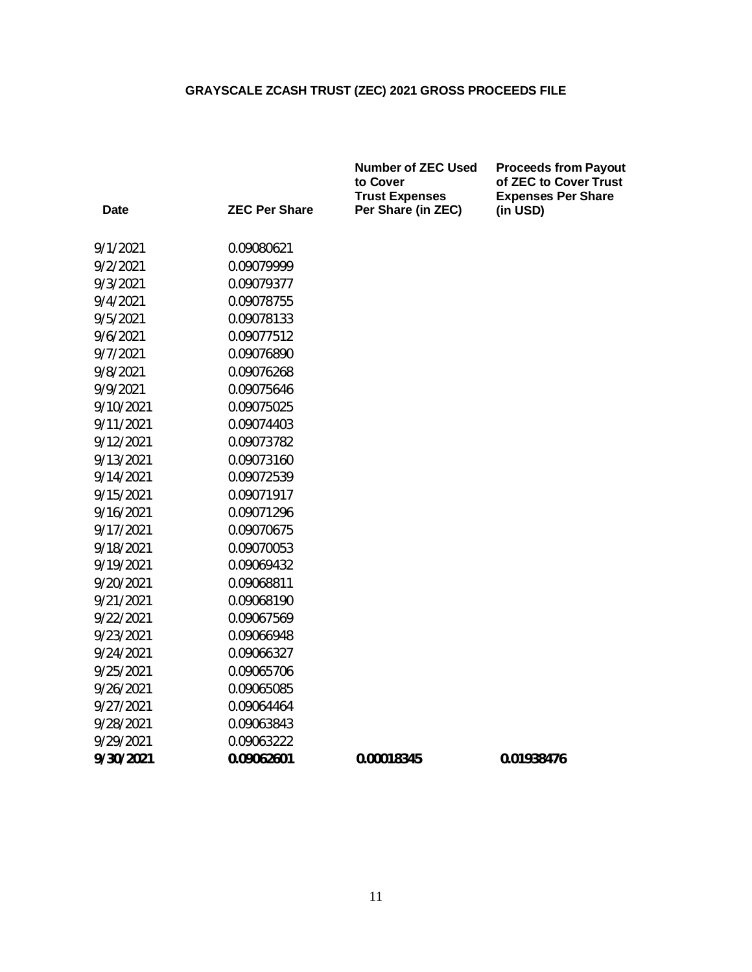|           |                      | <b>Number of ZEC Used</b><br>to Cover<br><b>Trust Expenses</b> | <b>Proceeds from Payout</b><br>of ZEC to Cover Trust<br><b>Expenses Per Share</b> |
|-----------|----------------------|----------------------------------------------------------------|-----------------------------------------------------------------------------------|
| Date      | <b>ZEC Per Share</b> | Per Share (in ZEC)                                             | (in USD)                                                                          |
| 9/1/2021  | 0.09080621           |                                                                |                                                                                   |
| 9/2/2021  | 0.09079999           |                                                                |                                                                                   |
| 9/3/2021  | 0.09079377           |                                                                |                                                                                   |
| 9/4/2021  | 0.09078755           |                                                                |                                                                                   |
| 9/5/2021  | 0.09078133           |                                                                |                                                                                   |
| 9/6/2021  | 0.09077512           |                                                                |                                                                                   |
| 9/7/2021  | 0.09076890           |                                                                |                                                                                   |
| 9/8/2021  | 0.09076268           |                                                                |                                                                                   |
| 9/9/2021  | 0.09075646           |                                                                |                                                                                   |
| 9/10/2021 | 0.09075025           |                                                                |                                                                                   |
| 9/11/2021 | 0.09074403           |                                                                |                                                                                   |
| 9/12/2021 | 0.09073782           |                                                                |                                                                                   |
| 9/13/2021 | 0.09073160           |                                                                |                                                                                   |
| 9/14/2021 | 0.09072539           |                                                                |                                                                                   |
| 9/15/2021 | 0.09071917           |                                                                |                                                                                   |
| 9/16/2021 | 0.09071296           |                                                                |                                                                                   |
| 9/17/2021 | 0.09070675           |                                                                |                                                                                   |
| 9/18/2021 | 0.09070053           |                                                                |                                                                                   |
| 9/19/2021 | 0.09069432           |                                                                |                                                                                   |
| 9/20/2021 | 0.09068811           |                                                                |                                                                                   |
| 9/21/2021 | 0.09068190           |                                                                |                                                                                   |
| 9/22/2021 | 0.09067569           |                                                                |                                                                                   |
| 9/23/2021 | 0.09066948           |                                                                |                                                                                   |
| 9/24/2021 | 0.09066327           |                                                                |                                                                                   |
| 9/25/2021 | 0.09065706           |                                                                |                                                                                   |
| 9/26/2021 | 0.09065085           |                                                                |                                                                                   |
| 9/27/2021 | 0.09064464           |                                                                |                                                                                   |
| 9/28/2021 | 0.09063843           |                                                                |                                                                                   |
| 9/29/2021 | 0.09063222           |                                                                |                                                                                   |
| 9/30/2021 | 0.09062601           | 0.00018345                                                     | 0.01938476                                                                        |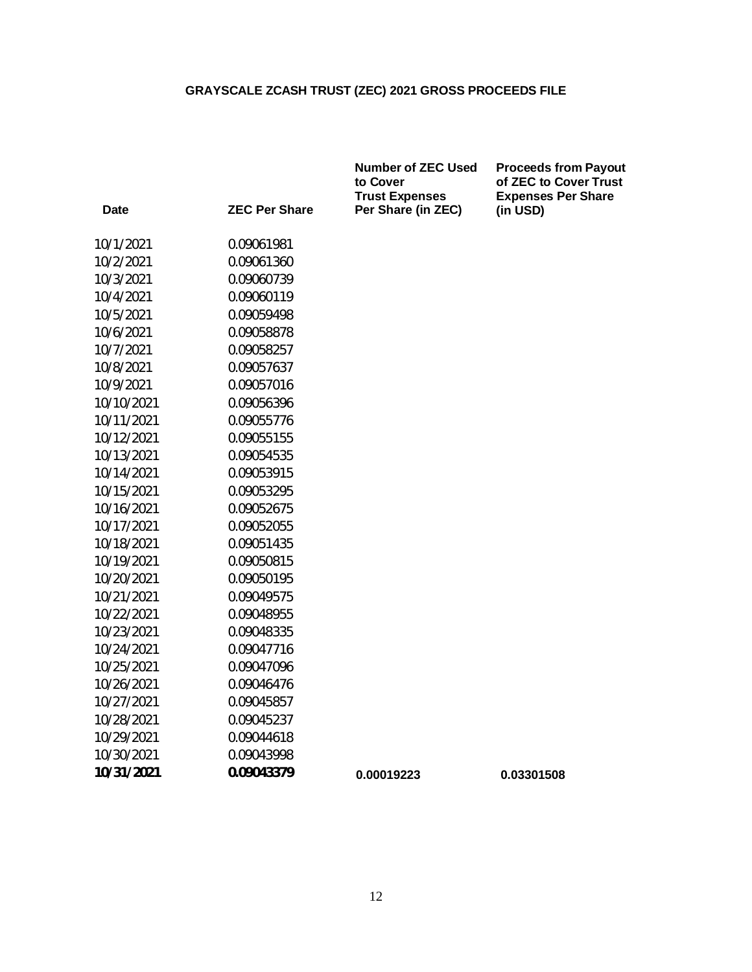|            |                      | <b>Number of ZEC Used</b><br>to Cover<br><b>Trust Expenses</b> | <b>Proceeds from Payout</b><br>of ZEC to Cover Trust<br><b>Expenses Per Share</b> |
|------------|----------------------|----------------------------------------------------------------|-----------------------------------------------------------------------------------|
| Date       | <b>ZEC Per Share</b> | Per Share (in ZEC)                                             | (in USD)                                                                          |
| 10/1/2021  | 0.09061981           |                                                                |                                                                                   |
| 10/2/2021  | 0.09061360           |                                                                |                                                                                   |
| 10/3/2021  | 0.09060739           |                                                                |                                                                                   |
| 10/4/2021  | 0.09060119           |                                                                |                                                                                   |
| 10/5/2021  | 0.09059498           |                                                                |                                                                                   |
| 10/6/2021  | 0.09058878           |                                                                |                                                                                   |
| 10/7/2021  | 0.09058257           |                                                                |                                                                                   |
| 10/8/2021  | 0.09057637           |                                                                |                                                                                   |
| 10/9/2021  | 0.09057016           |                                                                |                                                                                   |
| 10/10/2021 | 0.09056396           |                                                                |                                                                                   |
| 10/11/2021 | 0.09055776           |                                                                |                                                                                   |
| 10/12/2021 | 0.09055155           |                                                                |                                                                                   |
| 10/13/2021 | 0.09054535           |                                                                |                                                                                   |
| 10/14/2021 | 0.09053915           |                                                                |                                                                                   |
| 10/15/2021 | 0.09053295           |                                                                |                                                                                   |
| 10/16/2021 | 0.09052675           |                                                                |                                                                                   |
| 10/17/2021 | 0.09052055           |                                                                |                                                                                   |
| 10/18/2021 | 0.09051435           |                                                                |                                                                                   |
| 10/19/2021 | 0.09050815           |                                                                |                                                                                   |
| 10/20/2021 | 0.09050195           |                                                                |                                                                                   |
| 10/21/2021 | 0.09049575           |                                                                |                                                                                   |
| 10/22/2021 | 0.09048955           |                                                                |                                                                                   |
| 10/23/2021 | 0.09048335           |                                                                |                                                                                   |
| 10/24/2021 | 0.09047716           |                                                                |                                                                                   |
| 10/25/2021 | 0.09047096           |                                                                |                                                                                   |
| 10/26/2021 | 0.09046476           |                                                                |                                                                                   |
| 10/27/2021 | 0.09045857           |                                                                |                                                                                   |
| 10/28/2021 | 0.09045237           |                                                                |                                                                                   |
| 10/29/2021 | 0.09044618           |                                                                |                                                                                   |
| 10/30/2021 | 0.09043998           |                                                                |                                                                                   |
| 10/31/2021 | 0.09043379           | 0.00019223                                                     | 0.03301508                                                                        |
|            |                      |                                                                |                                                                                   |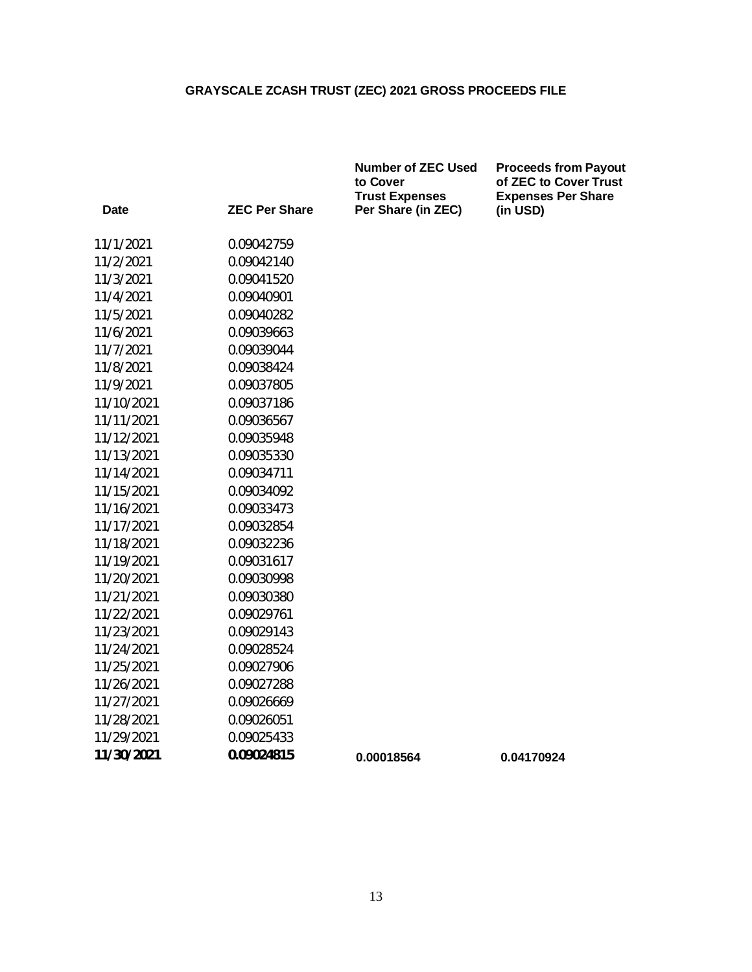|            |                      | <b>Number of ZEC Used</b><br>to Cover<br><b>Trust Expenses</b> | <b>Proceeds from Payout</b><br>of ZEC to Cover Trust<br><b>Expenses Per Share</b> |
|------------|----------------------|----------------------------------------------------------------|-----------------------------------------------------------------------------------|
| Date       | <b>ZEC Per Share</b> | Per Share (in ZEC)                                             | (in USD)                                                                          |
| 11/1/2021  | 0.09042759           |                                                                |                                                                                   |
| 11/2/2021  | 0.09042140           |                                                                |                                                                                   |
| 11/3/2021  | 0.09041520           |                                                                |                                                                                   |
| 11/4/2021  | 0.09040901           |                                                                |                                                                                   |
| 11/5/2021  | 0.09040282           |                                                                |                                                                                   |
| 11/6/2021  | 0.09039663           |                                                                |                                                                                   |
| 11/7/2021  | 0.09039044           |                                                                |                                                                                   |
| 11/8/2021  | 0.09038424           |                                                                |                                                                                   |
| 11/9/2021  | 0.09037805           |                                                                |                                                                                   |
| 11/10/2021 | 0.09037186           |                                                                |                                                                                   |
| 11/11/2021 | 0.09036567           |                                                                |                                                                                   |
| 11/12/2021 | 0.09035948           |                                                                |                                                                                   |
| 11/13/2021 | 0.09035330           |                                                                |                                                                                   |
| 11/14/2021 | 0.09034711           |                                                                |                                                                                   |
| 11/15/2021 | 0.09034092           |                                                                |                                                                                   |
| 11/16/2021 | 0.09033473           |                                                                |                                                                                   |
| 11/17/2021 | 0.09032854           |                                                                |                                                                                   |
| 11/18/2021 | 0.09032236           |                                                                |                                                                                   |
| 11/19/2021 | 0.09031617           |                                                                |                                                                                   |
| 11/20/2021 | 0.09030998           |                                                                |                                                                                   |
| 11/21/2021 | 0.09030380           |                                                                |                                                                                   |
| 11/22/2021 | 0.09029761           |                                                                |                                                                                   |
| 11/23/2021 | 0.09029143           |                                                                |                                                                                   |
| 11/24/2021 | 0.09028524           |                                                                |                                                                                   |
| 11/25/2021 | 0.09027906           |                                                                |                                                                                   |
| 11/26/2021 | 0.09027288           |                                                                |                                                                                   |
| 11/27/2021 | 0.09026669           |                                                                |                                                                                   |
| 11/28/2021 | 0.09026051           |                                                                |                                                                                   |
| 11/29/2021 | 0.09025433           |                                                                |                                                                                   |
| 11/30/2021 | 0.09024815           | 0.00018564                                                     | 0.04170924                                                                        |
|            |                      |                                                                |                                                                                   |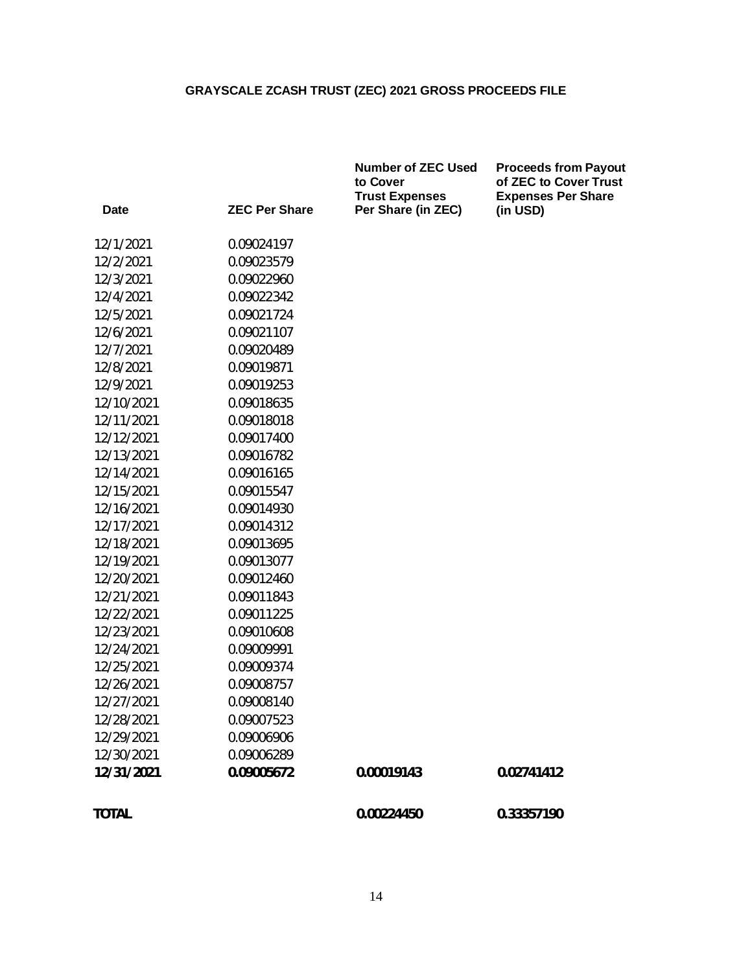|              |                      | <b>Number of ZEC Used</b><br>to Cover<br><b>Trust Expenses</b> | <b>Proceeds from Payout</b><br>of ZEC to Cover Trust<br><b>Expenses Per Share</b> |
|--------------|----------------------|----------------------------------------------------------------|-----------------------------------------------------------------------------------|
| Date         | <b>ZEC Per Share</b> | Per Share (in ZEC)                                             | (in USD)                                                                          |
| 12/1/2021    | 0.09024197           |                                                                |                                                                                   |
| 12/2/2021    | 0.09023579           |                                                                |                                                                                   |
| 12/3/2021    | 0.09022960           |                                                                |                                                                                   |
| 12/4/2021    | 0.09022342           |                                                                |                                                                                   |
| 12/5/2021    | 0.09021724           |                                                                |                                                                                   |
| 12/6/2021    | 0.09021107           |                                                                |                                                                                   |
| 12/7/2021    | 0.09020489           |                                                                |                                                                                   |
| 12/8/2021    | 0.09019871           |                                                                |                                                                                   |
| 12/9/2021    | 0.09019253           |                                                                |                                                                                   |
| 12/10/2021   | 0.09018635           |                                                                |                                                                                   |
| 12/11/2021   | 0.09018018           |                                                                |                                                                                   |
| 12/12/2021   | 0.09017400           |                                                                |                                                                                   |
| 12/13/2021   | 0.09016782           |                                                                |                                                                                   |
| 12/14/2021   | 0.09016165           |                                                                |                                                                                   |
| 12/15/2021   | 0.09015547           |                                                                |                                                                                   |
| 12/16/2021   | 0.09014930           |                                                                |                                                                                   |
| 12/17/2021   | 0.09014312           |                                                                |                                                                                   |
| 12/18/2021   | 0.09013695           |                                                                |                                                                                   |
| 12/19/2021   | 0.09013077           |                                                                |                                                                                   |
| 12/20/2021   | 0.09012460           |                                                                |                                                                                   |
| 12/21/2021   | 0.09011843           |                                                                |                                                                                   |
| 12/22/2021   | 0.09011225           |                                                                |                                                                                   |
| 12/23/2021   | 0.09010608           |                                                                |                                                                                   |
| 12/24/2021   | 0.09009991           |                                                                |                                                                                   |
| 12/25/2021   | 0.09009374           |                                                                |                                                                                   |
| 12/26/2021   | 0.09008757           |                                                                |                                                                                   |
| 12/27/2021   | 0.09008140           |                                                                |                                                                                   |
| 12/28/2021   | 0.09007523           |                                                                |                                                                                   |
| 12/29/2021   | 0.09006906           |                                                                |                                                                                   |
| 12/30/2021   | 0.09006289           |                                                                |                                                                                   |
| 12/31/2021   | 0.09005672           | 0.00019143                                                     | 0.02741412                                                                        |
| <b>TOTAL</b> |                      | 0.00224450                                                     | 0.33357190                                                                        |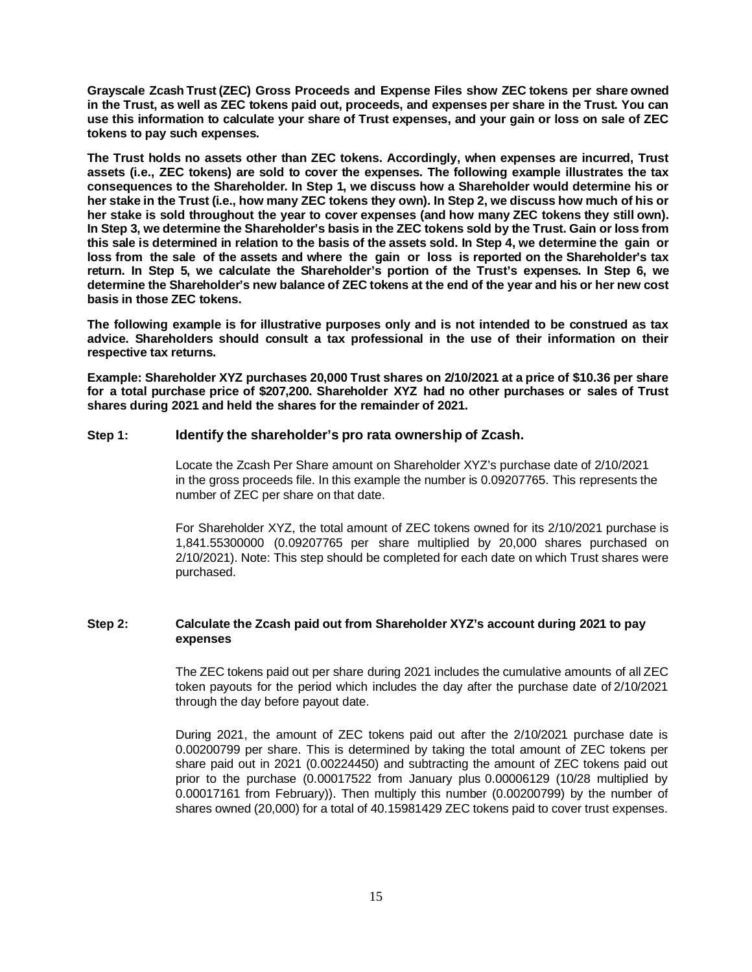**Grayscale Zcash Trust (ZEC) Gross Proceeds and Expense Files show ZEC tokens per share owned in the Trust, as well as ZEC tokens paid out, proceeds, and expenses per share in the Trust. You can use this information to calculate your share of Trust expenses, and your gain or loss on sale of ZEC tokens to pay such expenses.**

**The Trust holds no assets other than ZEC tokens. Accordingly, when expenses are incurred, Trust assets (i.e., ZEC tokens) are sold to cover the expenses. The following example illustrates the tax consequences to the Shareholder. In Step 1, we discuss how a Shareholder would determine his or her stake in the Trust (i.e., how many ZEC tokens they own). In Step 2, we discuss how much of his or her stake is sold throughout the year to cover expenses (and how many ZEC tokens they still own). In Step 3, we determine the Shareholder's basis in the ZEC tokens sold by the Trust. Gain or loss from this sale is determined in relation to the basis of the assets sold. In Step 4, we determine the gain or loss from the sale of the assets and where the gain or loss is reported on the Shareholder's tax return. In Step 5, we calculate the Shareholder's portion of the Trust's expenses. In Step 6, we determine the Shareholder's new balance of ZEC tokens at the end of the year and his or her new cost basis in those ZEC tokens.**

**The following example is for illustrative purposes only and is not intended to be construed as tax advice. Shareholders should consult a tax professional in the use of their information on their respective tax returns.**

**Example: Shareholder XYZ purchases 20,000 Trust shares on 2/10/2021 at a price of \$10.36 per share for a total purchase price of \$207,200. Shareholder XYZ had no other purchases or sales of Trust shares during 2021 and held the shares for the remainder of 2021.**

#### **Step 1: Identify the shareholder's pro rata ownership of Zcash.**

Locate the Zcash Per Share amount on Shareholder XYZ's purchase date of 2/10/2021 in the gross proceeds file. In this example the number is 0.09207765. This represents the number of ZEC per share on that date.

For Shareholder XYZ, the total amount of ZEC tokens owned for its 2/10/2021 purchase is 1,841.55300000 (0.09207765 per share multiplied by 20,000 shares purchased on 2/10/2021). Note: This step should be completed for each date on which Trust shares were purchased.

#### **Step 2: Calculate the Zcash paid out from Shareholder XYZ's account during 2021 to pay expenses**

The ZEC tokens paid out per share during 2021 includes the cumulative amounts of all ZEC token payouts for the period which includes the day after the purchase date of 2/10/2021 through the day before payout date.

During 2021, the amount of ZEC tokens paid out after the 2/10/2021 purchase date is 0.00200799 per share. This is determined by taking the total amount of ZEC tokens per share paid out in 2021 (0.00224450) and subtracting the amount of ZEC tokens paid out prior to the purchase (0.00017522 from January plus 0.00006129 (10/28 multiplied by 0.00017161 from February)). Then multiply this number (0.00200799) by the number of shares owned (20,000) for a total of 40.15981429 ZEC tokens paid to cover trust expenses.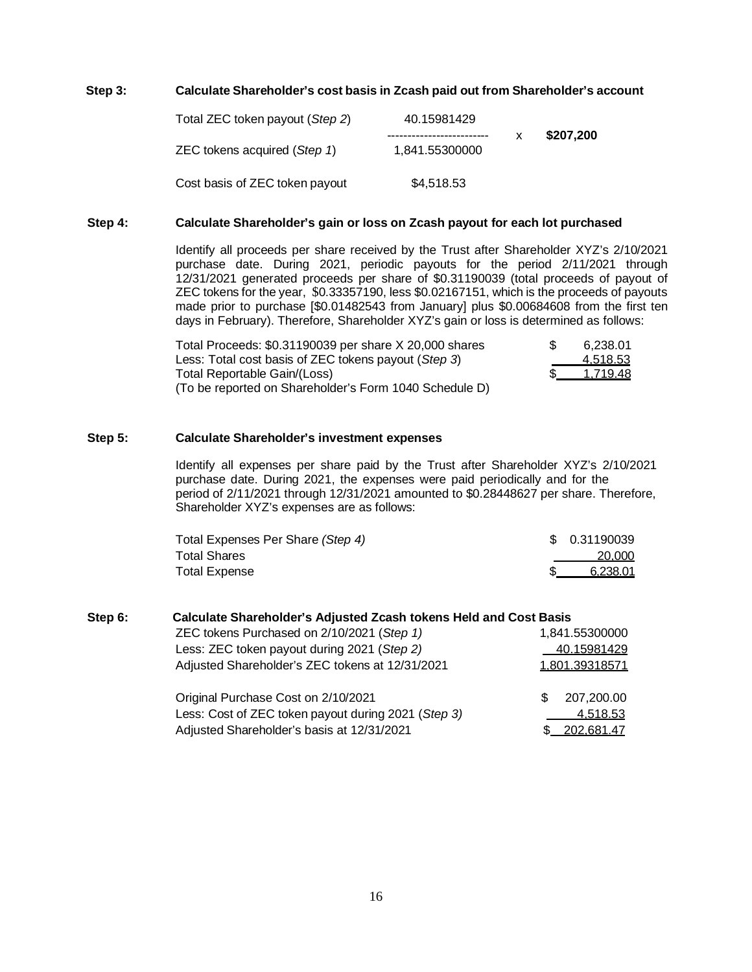#### **Step 3: Calculate Shareholder's cost basis in Zcash paid out from Shareholder's account**

| Total ZEC token payout (Step 2) | 40.15981429    |           |
|---------------------------------|----------------|-----------|
| ZEC tokens acquired (Step 1)    | 1,841.55300000 | \$207,200 |
| Cost basis of ZEC token payout  | \$4,518.53     |           |

#### **Step 4: Calculate Shareholder's gain or loss on Zcash payout for each lot purchased**

Identify all proceeds per share received by the Trust after Shareholder XYZ's 2/10/2021 purchase date. During 2021, periodic payouts for the period 2/11/2021 through 12/31/2021 generated proceeds per share of \$0.31190039 (total proceeds of payout of ZEC tokens for the year, \$0.33357190, less \$0.02167151, which is the proceeds of payouts made prior to purchase [\$0.01482543 from January] plus \$0.00684608 from the first ten days in February). Therefore, Shareholder XYZ's gain or loss is determined as follows:

| Total Proceeds: \$0.31190039 per share X 20,000 shares | 6.238.01 |
|--------------------------------------------------------|----------|
| Less: Total cost basis of ZEC tokens payout (Step 3)   | 4.518.53 |
| Total Reportable Gain/(Loss)                           | 1.719.48 |
| (To be reported on Shareholder's Form 1040 Schedule D) |          |

#### **Step 5: Calculate Shareholder's investment expenses**

Identify all expenses per share paid by the Trust after Shareholder XYZ's 2/10/2021 purchase date. During 2021, the expenses were paid periodically and for the period of 2/11/2021 through 12/31/2021 amounted to \$0.28448627 per share. Therefore, Shareholder XYZ's expenses are as follows:

| Total Expenses Per Share (Step 4) | \$ 0.31190039 |
|-----------------------------------|---------------|
| <b>Total Shares</b>               | 20.000        |
| <b>Total Expense</b>              | 6.238.01      |

| Step 6: | Calculate Shareholder's Adjusted Zcash tokens Held and Cost Basis |                   |  |  |
|---------|-------------------------------------------------------------------|-------------------|--|--|
|         | ZEC tokens Purchased on 2/10/2021 (Step 1)                        | 1,841.55300000    |  |  |
|         | Less: ZEC token payout during 2021 (Step 2)                       | 40.15981429       |  |  |
|         | Adjusted Shareholder's ZEC tokens at 12/31/2021                   | 1.801.39318571    |  |  |
|         | Original Purchase Cost on 2/10/2021                               | 207,200.00<br>\$. |  |  |
|         | Less: Cost of ZEC token payout during 2021 (Step 3)               | <u>4,518.53</u>   |  |  |
|         | Adjusted Shareholder's basis at 12/31/2021                        | 202.681.47        |  |  |